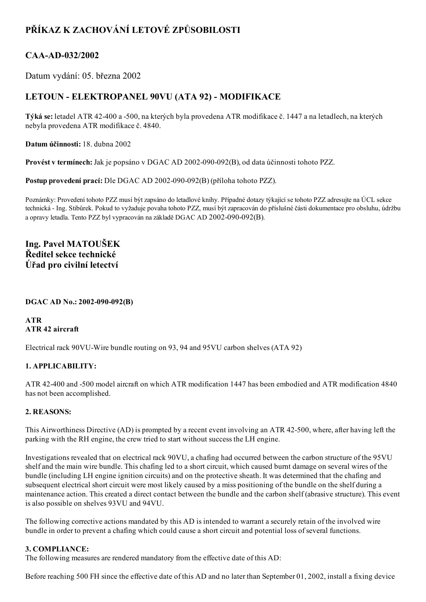# PŘÍKAZ K ZACHOVÁNÍ LETOVÉ ZPŮSOBILOSTI

### CAA-AD-032/2002

Datum vydání: 05. března 2002

## LETOUN - ELEKTROPANEL 90VU (ATA 92) - MODIFIKACE

Týká se: letadel ATR 42-400 a -500, na kterých byla provedena ATR modifikace č. 1447 a na letadlech, na kterých nebyla provedena ATR modifikace č. 4840.

Datum účinnosti: 18. dubna 2002

Provést v termínech: Jak je popsáno v DGAC AD 2002-090-092(B), od data účinnosti tohoto PZZ.

Postup provedení prací: Dle DGAC AD 2002-090-092(B) (příloha tohoto PZZ).

Poznámky: Provedení tohoto PZZ musí být zapsáno do letadlové knihy. Případné dotazy týkající se tohoto PZZ adresujte na ÚCL sekce technická Ing. Stibůrek. Pokud to vyžaduje povaha tohoto PZZ, musí být zapracován do příslušné části dokumentace pro obsluhu, údržbu a opravy letadla. Tento PZZ byl vypracován na základě DGAC AD 2002-090-092(B).

Ing. Pavel MATOUŠEK Ředitel sekce technické Úřad pro civilní letectví

#### DGAC AD No.: 2002-090-092(B)

ATR ATR 42 aircraft

Electrical rack 90VU-Wire bundle routing on 93, 94 and 95VU carbon shelves (ATA 92)

#### 1. APPLICABILITY:

ATR 42400 and 500 model aircraft on which ATR modification 1447 has been embodied and ATR modification 4840 has not been accomplished.

#### 2. REASONS:

This Airworthiness Directive (AD) is prompted by a recent event involving an ATR 42500, where, after having left the parking with the RH engine, the crew tried to start without success the LH engine.

Investigations revealed that on electrical rack 90VU, a chafing had occurred between the carbon structure of the 95VU shelf and the main wire bundle. This chafing led to a short circuit, which caused burnt damage on several wires of the bundle (including LH engine ignition circuits) and on the protective sheath. It was determined that the chafing and subsequent electrical short circuit were most likely caused by a miss positioning of the bundle on the shelf during a maintenance action. This created a direct contact between the bundle and the carbon shelf (abrasive structure). This event is also possible on shelves 93VU and 94VU.

The following corrective actions mandated by this AD is intended to warrant a securely retain of the involved wire bundle in order to prevent a chafing which could cause a short circuit and potential loss of several functions.

#### 3. COMPLIANCE:

The following measures are rendered mandatory from the effective date of this AD:

Before reaching 500 FH since the effective date of this AD and no later than September 01, 2002, install a fixing device